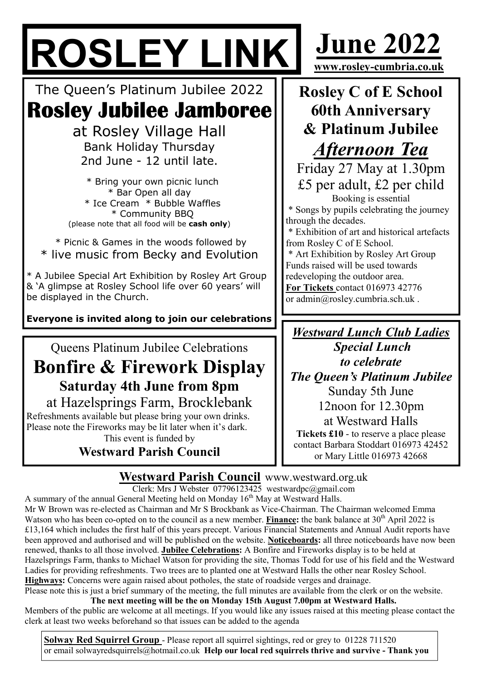# ROSLEY LINK June 2022

The Queen's Platinum Jubilee 2022 Rosley Jubilee Jamboree

> at Rosley Village Hall Bank Holiday Thursday 2nd June - 12 until late.

 \* Bring your own picnic lunch \* Bar Open all day \* Ice Cream \* Bubble Waffles \* Community BBQ (please note that all food will be cash only)

 \* Picnic & Games in the woods followed by \* live music from Becky and Evolution

\* A Jubilee Special Art Exhibition by Rosley Art Group & 'A glimpse at Rosley School life over 60 years' will be displayed in the Church.

Everyone is invited along to join our celebrations

Queens Platinum Jubilee Celebrations

# Bonfire & Firework Display Saturday 4th June from 8pm at Hazelsprings Farm, Brocklebank

Refreshments available but please bring your own drinks. Please note the Fireworks may be lit later when it's dark. This event is funded by

Westward Parish Council

Rosley C of E School 60th Anniversary & Platinum Jubilee Afternoon Tea

www.rosley-cumbria.co.uk

Friday 27 May at 1.30pm £5 per adult, £2 per child Booking is essential

 \* Songs by pupils celebrating the journey through the decades.

 \* Exhibition of art and historical artefacts from Rosley C of E School.

 \* Art Exhibition by Rosley Art Group Funds raised will be used towards redeveloping the outdoor area. For Tickets contact 016973 42776 or admin@rosley.cumbria.sch.uk .

Westward Lunch Club Ladies Special Lunch to celebrate The Queen's Platinum Jubilee Sunday 5th June 12noon for 12.30pm at Westward Halls

Tickets £10 - to reserve a place please contact Barbara Stoddart 016973 42452 or Mary Little 016973 42668

**Westward Parish Council www.westward.org.uk** 

Clerk: Mrs J Webster 07796123425 westwardpc@gmail.com

A summary of the annual General Meeting held on Monday  $16<sup>th</sup>$  May at Westward Halls. Mr W Brown was re-elected as Chairman and Mr S Brockbank as Vice-Chairman. The Chairman welcomed Emma Watson who has been co-opted on to the council as a new member. **Finance:** the bank balance at  $30<sup>th</sup>$  April 2022 is £13,164 which includes the first half of this years precept. Various Financial Statements and Annual Audit reports have been approved and authorised and will be published on the website. Noticeboards: all three noticeboards have now been renewed, thanks to all those involved. Jubilee Celebrations: A Bonfire and Fireworks display is to be held at Hazelsprings Farm, thanks to Michael Watson for providing the site, Thomas Todd for use of his field and the Westward Ladies for providing refreshments. Two trees are to planted one at Westward Halls the other near Rosley School. Highways: Concerns were again raised about potholes, the state of roadside verges and drainage.

Please note this is just a brief summary of the meeting, the full minutes are available from the clerk or on the website.

The next meeting will be the on Monday 15th August 7.00pm at Westward Halls. Members of the public are welcome at all meetings. If you would like any issues raised at this meeting please contact the clerk at least two weeks beforehand so that issues can be added to the agenda

Solway Red Squirrel Group - Please report all squirrel sightings, red or grey to 01228 711520 or email solwayredsquirrels@hotmail.co.uk Help our local red squirrels thrive and survive - Thank you